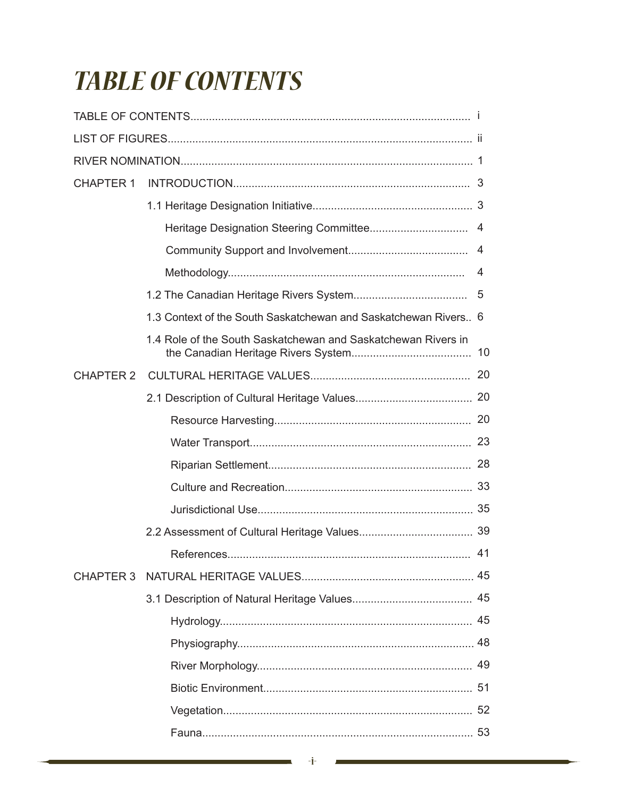## **TABLE OF CONTENTS**

| <b>CHAPTER 1</b> |                                                                 |    |
|------------------|-----------------------------------------------------------------|----|
|                  |                                                                 |    |
|                  |                                                                 |    |
|                  |                                                                 |    |
|                  |                                                                 |    |
|                  |                                                                 |    |
|                  | 1.3 Context of the South Saskatchewan and Saskatchewan Rivers 6 |    |
|                  | 1.4 Role of the South Saskatchewan and Saskatchewan Rivers in   |    |
| <b>CHAPTER 2</b> |                                                                 |    |
|                  |                                                                 |    |
|                  |                                                                 |    |
|                  |                                                                 |    |
|                  |                                                                 |    |
|                  |                                                                 |    |
|                  |                                                                 |    |
|                  |                                                                 |    |
|                  |                                                                 | 41 |
|                  |                                                                 |    |
|                  |                                                                 |    |
|                  |                                                                 |    |
|                  |                                                                 |    |
|                  |                                                                 |    |
|                  |                                                                 |    |
|                  |                                                                 |    |
|                  |                                                                 |    |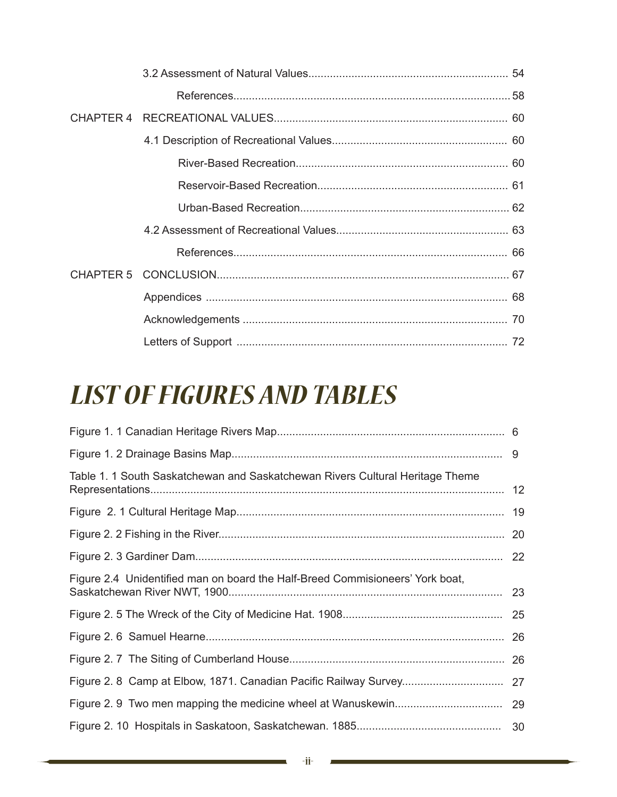## *LIST OF FIGURES AND TABLES*

| Table 1. 1 South Saskatchewan and Saskatchewan Rivers Cultural Heritage Theme |  |
|-------------------------------------------------------------------------------|--|
|                                                                               |  |
|                                                                               |  |
|                                                                               |  |
| Figure 2.4 Unidentified man on board the Half-Breed Commisioneers' York boat, |  |
|                                                                               |  |
|                                                                               |  |
|                                                                               |  |
|                                                                               |  |
|                                                                               |  |
|                                                                               |  |